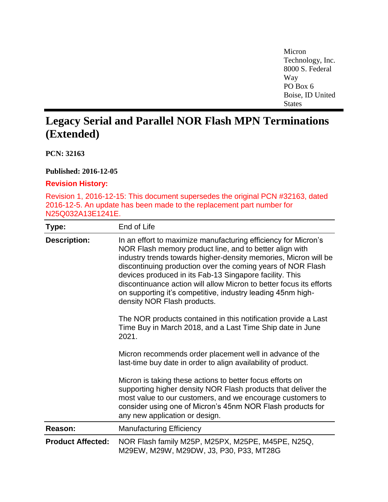Micron Technology, Inc. 8000 S. Federal Way PO Box 6 Boise, ID United **States** 

## **Legacy Serial and Parallel NOR Flash MPN Terminations (Extended)**

**PCN: 32163**

**Published: 2016-12-05**

## **Revision History:**

Revision 1, 2016-12-15: This document supersedes the original PCN #32163, dated 2016-12-5. An update has been made to the replacement part number for N25Q032A13E1241E.

| Type:                    | End of Life                                                                                                                                                                                                                                                                                                                                                                                                                                                                                 |
|--------------------------|---------------------------------------------------------------------------------------------------------------------------------------------------------------------------------------------------------------------------------------------------------------------------------------------------------------------------------------------------------------------------------------------------------------------------------------------------------------------------------------------|
| <b>Description:</b>      | In an effort to maximize manufacturing efficiency for Micron's<br>NOR Flash memory product line, and to better align with<br>industry trends towards higher-density memories, Micron will be<br>discontinuing production over the coming years of NOR Flash<br>devices produced in its Fab-13 Singapore facility. This<br>discontinuance action will allow Micron to better focus its efforts<br>on supporting it's competitive, industry leading 45nm high-<br>density NOR Flash products. |
|                          | The NOR products contained in this notification provide a Last<br>Time Buy in March 2018, and a Last Time Ship date in June<br>2021.                                                                                                                                                                                                                                                                                                                                                        |
|                          | Micron recommends order placement well in advance of the<br>last-time buy date in order to align availability of product.                                                                                                                                                                                                                                                                                                                                                                   |
|                          | Micron is taking these actions to better focus efforts on<br>supporting higher density NOR Flash products that deliver the<br>most value to our customers, and we encourage customers to<br>consider using one of Micron's 45nm NOR Flash products for<br>any new application or design.                                                                                                                                                                                                    |
| Reason:                  | <b>Manufacturing Efficiency</b>                                                                                                                                                                                                                                                                                                                                                                                                                                                             |
| <b>Product Affected:</b> | NOR Flash family M25P, M25PX, M25PE, M45PE, N25Q,<br>M29EW, M29W, M29DW, J3, P30, P33, MT28G                                                                                                                                                                                                                                                                                                                                                                                                |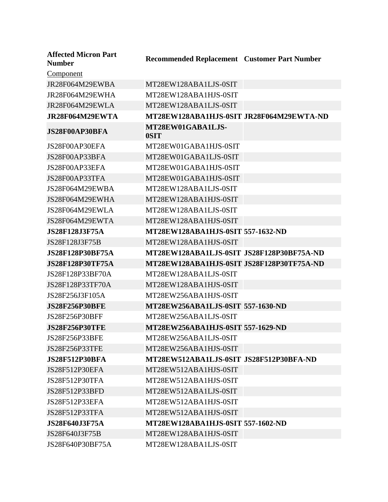| <b>Affected Micron Part</b><br><b>Number</b> | <b>Recommended Replacement Customer Part Number</b> |  |
|----------------------------------------------|-----------------------------------------------------|--|
| <b>Component</b>                             |                                                     |  |
| JR28F064M29EWBA                              | MT28EW128ABA1LJS-0SIT                               |  |
| JR28F064M29EWHA                              | MT28EW128ABA1HJS-0SIT                               |  |
| JR28F064M29EWLA                              | MT28EW128ABA1LJS-0SIT                               |  |
| JR28F064M29EWTA                              | MT28EW128ABA1HJS-0SIT JR28F064M29EWTA-ND            |  |
| JS28F00AP30BFA                               | MT28EW01GABA1LJS-<br>0SIT                           |  |
| JS28F00AP30EFA                               | MT28EW01GABA1HJS-0SIT                               |  |
| JS28F00AP33BFA                               | MT28EW01GABA1LJS-0SIT                               |  |
| JS28F00AP33EFA                               | MT28EW01GABA1HJS-0SIT                               |  |
| JS28F00AP33TFA                               | MT28EW01GABA1HJS-0SIT                               |  |
| JS28F064M29EWBA                              | MT28EW128ABA1LJS-0SIT                               |  |
| JS28F064M29EWHA                              | MT28EW128ABA1HJS-0SIT                               |  |
| JS28F064M29EWLA                              | MT28EW128ABA1LJS-0SIT                               |  |
| JS28F064M29EWTA                              | MT28EW128ABA1HJS-0SIT                               |  |
| <b>JS28F128J3F75A</b>                        | MT28EW128ABA1HJS-0SIT 557-1632-ND                   |  |
| JS28F128J3F75B                               | MT28EW128ABA1HJS-0SIT                               |  |
| <b>JS28F128P30BF75A</b>                      | MT28EW128ABA1LJS-0SIT JS28F128P30BF75A-ND           |  |
| <b>JS28F128P30TF75A</b>                      | MT28EW128ABA1HJS-0SIT JS28F128P30TF75A-ND           |  |
| JS28F128P33BF70A                             | MT28EW128ABA1LJS-0SIT                               |  |
| JS28F128P33TF70A                             | MT28EW128ABA1HJS-0SIT                               |  |
| JS28F256J3F105A                              | MT28EW256ABA1HJS-0SIT                               |  |
| <b>JS28F256P30BFE</b>                        | MT28EW256ABA1LJS-0SIT 557-1630-ND                   |  |
| JS28F256P30BFF                               | MT28EW256ABA1LJS-0SIT                               |  |
| <b>JS28F256P30TFE</b>                        | MT28EW256ABA1HJS-0SIT 557-1629-ND                   |  |
| JS28F256P33BFE                               | MT28EW256ABA1LJS-0SIT                               |  |
| JS28F256P33TFE                               | MT28EW256ABA1HJS-0SIT                               |  |
| <b>JS28F512P30BFA</b>                        | MT28EW512ABA1LJS-0SIT JS28F512P30BFA-ND             |  |
| JS28F512P30EFA                               | MT28EW512ABA1HJS-0SIT                               |  |
| JS28F512P30TFA                               | MT28EW512ABA1HJS-0SIT                               |  |
| JS28F512P33BFD                               | MT28EW512ABA1LJS-0SIT                               |  |
| JS28F512P33EFA                               | MT28EW512ABA1HJS-0SIT                               |  |
| JS28F512P33TFA                               | MT28EW512ABA1HJS-0SIT                               |  |
| <b>JS28F640J3F75A</b>                        | <b>MT28EW128ABA1HJS-0SIT 557-1602-ND</b>            |  |
| JS28F640J3F75B                               | MT28EW128ABA1HJS-0SIT                               |  |
| JS28F640P30BF75A                             | MT28EW128ABA1LJS-0SIT                               |  |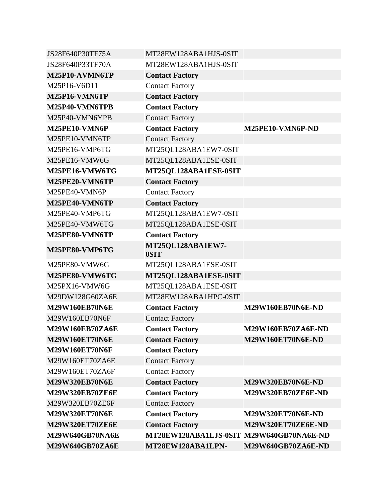| JS28F640P30TF75A       | MT28EW128ABA1HJS-0SIT                    |                          |
|------------------------|------------------------------------------|--------------------------|
| JS28F640P33TF70A       | MT28EW128ABA1HJS-0SIT                    |                          |
| M25P10-AVMN6TP         | <b>Contact Factory</b>                   |                          |
| M25P16-V6D11           | <b>Contact Factory</b>                   |                          |
| M25P16-VMN6TP          | <b>Contact Factory</b>                   |                          |
| M25P40-VMN6TPB         | <b>Contact Factory</b>                   |                          |
| M25P40-VMN6YPB         | <b>Contact Factory</b>                   |                          |
| M25PE10-VMN6P          | <b>Contact Factory</b>                   | M25PE10-VMN6P-ND         |
| M25PE10-VMN6TP         | <b>Contact Factory</b>                   |                          |
| M25PE16-VMP6TG         | MT25QL128ABA1EW7-0SIT                    |                          |
| M25PE16-VMW6G          | MT25QL128ABA1ESE-0SIT                    |                          |
| M25PE16-VMW6TG         | MT25QL128ABA1ESE-0SIT                    |                          |
| M25PE20-VMN6TP         | <b>Contact Factory</b>                   |                          |
| M25PE40-VMN6P          | <b>Contact Factory</b>                   |                          |
| M25PE40-VMN6TP         | <b>Contact Factory</b>                   |                          |
| M25PE40-VMP6TG         | MT25QL128ABA1EW7-0SIT                    |                          |
| M25PE40-VMW6TG         | MT25QL128ABA1ESE-0SIT                    |                          |
| M25PE80-VMN6TP         | <b>Contact Factory</b>                   |                          |
| M25PE80-VMP6TG         | MT25QL128ABA1EW7-<br>0SIT                |                          |
| M25PE80-VMW6G          | MT25QL128ABA1ESE-0SIT                    |                          |
| M25PE80-VMW6TG         | MT25QL128ABA1ESE-0SIT                    |                          |
| M25PX16-VMW6G          | MT25QL128ABA1ESE-0SIT                    |                          |
| M29DW128G60ZA6E        | MT28EW128ABA1HPC-0SIT                    |                          |
| <b>M29W160EB70N6E</b>  | <b>Contact Factory</b>                   | <b>M29W160EB70N6E-ND</b> |
| M29W160EB70N6F         | <b>Contact Factory</b>                   |                          |
| M29W160EB70ZA6E        | <b>Contact Factory</b>                   | M29W160EB70ZA6E-ND       |
| <b>M29W160ET70N6E</b>  | <b>Contact Factory</b>                   | M29W160ET70N6E-ND        |
| <b>M29W160ET70N6F</b>  | <b>Contact Factory</b>                   |                          |
| M29W160ET70ZA6E        | <b>Contact Factory</b>                   |                          |
| M29W160ET70ZA6F        | <b>Contact Factory</b>                   |                          |
| <b>M29W320EB70N6E</b>  | <b>Contact Factory</b>                   | <b>M29W320EB70N6E-ND</b> |
| <b>M29W320EB70ZE6E</b> | <b>Contact Factory</b>                   | M29W320EB70ZE6E-ND       |
| M29W320EB70ZE6F        | <b>Contact Factory</b>                   |                          |
| <b>M29W320ET70N6E</b>  | <b>Contact Factory</b>                   | <b>M29W320ET70N6E-ND</b> |
| M29W320ET70ZE6E        | <b>Contact Factory</b>                   | M29W320ET70ZE6E-ND       |
| M29W640GB70NA6E        | MT28EW128ABA1LJS-0SIT M29W640GB70NA6E-ND |                          |
| M29W640GB70ZA6E        | MT28EW128ABA1LPN-                        | M29W640GB70ZA6E-ND       |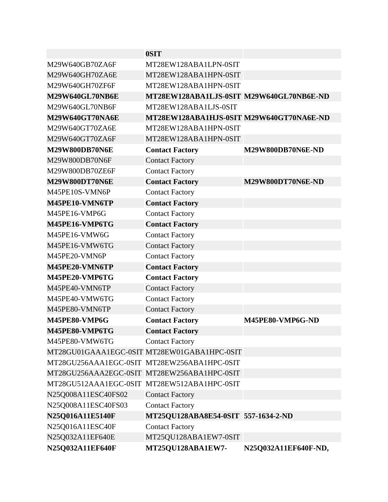|                        | 0SIT                                        |                          |
|------------------------|---------------------------------------------|--------------------------|
| M29W640GB70ZA6F        | MT28EW128ABA1LPN-0SIT                       |                          |
| M29W640GH70ZA6E        | MT28EW128ABA1HPN-0SIT                       |                          |
| M29W640GH70ZF6F        | MT28EW128ABA1HPN-0SIT                       |                          |
| <b>M29W640GL70NB6E</b> | MT28EW128ABA1LJS-0SIT M29W640GL70NB6E-ND    |                          |
| M29W640GL70NB6F        | MT28EW128ABA1LJS-0SIT                       |                          |
| M29W640GT70NA6E        | MT28EW128ABA1HJS-0SIT M29W640GT70NA6E-ND    |                          |
| M29W640GT70ZA6E        | MT28EW128ABA1HPN-0SIT                       |                          |
| M29W640GT70ZA6F        | MT28EW128ABA1HPN-0SIT                       |                          |
| <b>M29W800DB70N6E</b>  | <b>Contact Factory</b>                      | <b>M29W800DB70N6E-ND</b> |
| M29W800DB70N6F         | <b>Contact Factory</b>                      |                          |
| M29W800DB70ZE6F        | <b>Contact Factory</b>                      |                          |
| <b>M29W800DT70N6E</b>  | <b>Contact Factory</b>                      | M29W800DT70N6E-ND        |
| M45PE10S-VMN6P         | <b>Contact Factory</b>                      |                          |
| M45PE10-VMN6TP         | <b>Contact Factory</b>                      |                          |
| M45PE16-VMP6G          | <b>Contact Factory</b>                      |                          |
| M45PE16-VMP6TG         | <b>Contact Factory</b>                      |                          |
| M45PE16-VMW6G          | <b>Contact Factory</b>                      |                          |
| M45PE16-VMW6TG         | <b>Contact Factory</b>                      |                          |
| M45PE20-VMN6P          | <b>Contact Factory</b>                      |                          |
| M45PE20-VMN6TP         | <b>Contact Factory</b>                      |                          |
| M45PE20-VMP6TG         | <b>Contact Factory</b>                      |                          |
| M45PE40-VMN6TP         | <b>Contact Factory</b>                      |                          |
| M45PE40-VMW6TG         | <b>Contact Factory</b>                      |                          |
| M45PE80-VMN6TP         | <b>Contact Factory</b>                      |                          |
| M45PE80-VMP6G          | <b>Contact Factory</b>                      | M45PE80-VMP6G-ND         |
| M45PE80-VMP6TG         | <b>Contact Factory</b>                      |                          |
| M45PE80-VMW6TG         | <b>Contact Factory</b>                      |                          |
|                        | MT28GU01GAAA1EGC-0SIT MT28EW01GABA1HPC-0SIT |                          |
|                        | MT28GU256AAA1EGC-0SIT MT28EW256ABA1HPC-0SIT |                          |
|                        | MT28GU256AAA2EGC-0SIT MT28EW256ABA1HPC-0SIT |                          |
|                        | MT28GU512AAA1EGC-0SIT MT28EW512ABA1HPC-0SIT |                          |
| N25Q008A11ESC40FS02    | <b>Contact Factory</b>                      |                          |
| N25Q008A11ESC40FS03    | <b>Contact Factory</b>                      |                          |
| N25Q016A11E5140F       | MT25QU128ABA8E54-0SIT 557-1634-2-ND         |                          |
| N25Q016A11ESC40F       | <b>Contact Factory</b>                      |                          |
| N25Q032A11EF640E       | MT25QU128ABA1EW7-0SIT                       |                          |
| N25Q032A11EF640F       | MT25QU128ABA1EW7-                           | N25Q032A11EF640F-ND,     |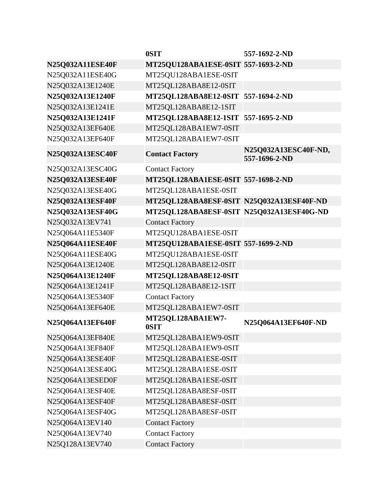|                         | 0SIT                                      | 557-1692-2-ND                         |
|-------------------------|-------------------------------------------|---------------------------------------|
| <b>N25Q032A11ESE40F</b> | MT25QU128ABA1ESE-0SIT 557-1693-2-ND       |                                       |
| N25Q032A11ESE40G        | MT25QU128ABA1ESE-0SIT                     |                                       |
| N25Q032A13E1240E        | MT25QL128ABA8E12-0SIT                     |                                       |
| N25Q032A13E1240F        | MT25QL128ABA8E12-0SIT 557-1694-2-ND       |                                       |
| N25Q032A13E1241E        | MT25QL128ABA8E12-1SIT                     |                                       |
| N25Q032A13E1241F        | MT25QL128ABA8E12-1SIT 557-1695-2-ND       |                                       |
| N25Q032A13EF640E        | MT25QL128ABA1EW7-0SIT                     |                                       |
| N25Q032A13EF640F        | MT25QL128ABA1EW7-0SIT                     |                                       |
| <b>N25Q032A13ESC40F</b> | <b>Contact Factory</b>                    | N25Q032A13ESC40F-ND,<br>557-1696-2-ND |
| N25Q032A13ESC40G        | <b>Contact Factory</b>                    |                                       |
| <b>N25Q032A13ESE40F</b> | MT25QL128ABA1ESE-0SIT 557-1698-2-ND       |                                       |
| N25Q032A13ESE40G        | MT25QL128ABA1ESE-0SIT                     |                                       |
| N25Q032A13ESF40F        | MT25QL128ABA8ESF-0SIT N25Q032A13ESF40F-ND |                                       |
| N25Q032A13ESF40G        | MT25QL128ABA8ESF-0SIT N25Q032A13ESF40G-ND |                                       |
| N25Q032A13EV741         | <b>Contact Factory</b>                    |                                       |
| N25Q064A11E5340F        | MT25QU128ABA1ESE-0SIT                     |                                       |
| <b>N25Q064A11ESE40F</b> | MT25QU128ABA1ESE-0SIT 557-1699-2-ND       |                                       |
| N25Q064A11ESE40G        | MT25QU128ABA1ESE-0SIT                     |                                       |
| N25Q064A13E1240E        | MT25QL128ABA8E12-0SIT                     |                                       |
| N25Q064A13E1240F        | MT25QL128ABA8E12-0SIT                     |                                       |
| N25Q064A13E1241F        | MT25QL128ABA8E12-1SIT                     |                                       |
| N25Q064A13E5340F        | <b>Contact Factory</b>                    |                                       |
| N25Q064A13EF640E        | MT25QL128ABA1EW7-0SIT                     |                                       |
| N25Q064A13EF640F        | MT25QL128ABA1EW7-<br>0SIT                 | N25Q064A13EF640F-ND                   |
| N25Q064A13EF840E        | MT25QL128ABA1EW9-0SIT                     |                                       |
| N25Q064A13EF840F        | MT25QL128ABA1EW9-0SIT                     |                                       |
| N25Q064A13ESE40F        | MT25QL128ABA1ESE-0SIT                     |                                       |
| N25Q064A13ESE40G        | MT25QL128ABA1ESE-0SIT                     |                                       |
| N25Q064A13ESED0F        | MT25QL128ABA1ESE-0SIT                     |                                       |
| N25Q064A13ESF40E        | MT25QL128ABA8ESF-0SIT                     |                                       |
| N25Q064A13ESF40F        | MT25QL128ABA8ESF-0SIT                     |                                       |
| N25Q064A13ESF40G        | MT25QL128ABA8ESF-0SIT                     |                                       |
| N25Q064A13EV140         | <b>Contact Factory</b>                    |                                       |
| N25Q064A13EV740         | <b>Contact Factory</b>                    |                                       |
| N25Q128A13EV740         | <b>Contact Factory</b>                    |                                       |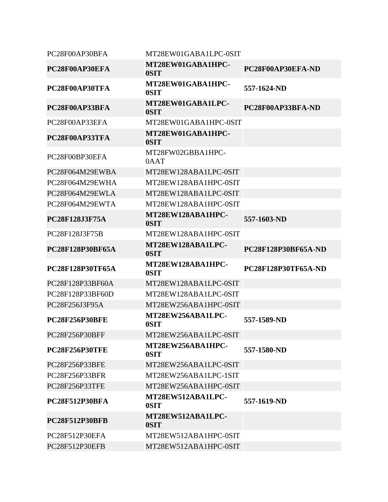| PC28F00AP30BFA          | MT28EW01GABA1LPC-0SIT     |                            |
|-------------------------|---------------------------|----------------------------|
| PC28F00AP30EFA          | MT28EW01GABA1HPC-<br>0SIT | PC28F00AP30EFA-ND          |
| PC28F00AP30TFA          | MT28EW01GABA1HPC-<br>0SIT | 557-1624-ND                |
| PC28F00AP33BFA          | MT28EW01GABA1LPC-<br>0SIT | PC28F00AP33BFA-ND          |
| PC28F00AP33EFA          | MT28EW01GABA1HPC-0SIT     |                            |
| PC28F00AP33TFA          | MT28EW01GABA1HPC-<br>0SIT |                            |
| PC28F00BP30EFA          | MT28FW02GBBA1HPC-<br>0AAT |                            |
| PC28F064M29EWBA         | MT28EW128ABA1LPC-0SIT     |                            |
| PC28F064M29EWHA         | MT28EW128ABA1HPC-0SIT     |                            |
| PC28F064M29EWLA         | MT28EW128ABA1LPC-0SIT     |                            |
| PC28F064M29EWTA         | MT28EW128ABA1HPC-0SIT     |                            |
| <b>PC28F128J3F75A</b>   | MT28EW128ABA1HPC-<br>0SIT | 557-1603-ND                |
| PC28F128J3F75B          | MT28EW128ABA1HPC-0SIT     |                            |
| <b>PC28F128P30BF65A</b> | MT28EW128ABA1LPC-<br>0SIT | <b>PC28F128P30BF65A-ND</b> |
| <b>PC28F128P30TF65A</b> | MT28EW128ABA1HPC-<br>0SIT | <b>PC28F128P30TF65A-ND</b> |
| PC28F128P33BF60A        | MT28EW128ABA1LPC-0SIT     |                            |
| PC28F128P33BF60D        | MT28EW128ABA1LPC-0SIT     |                            |
| PC28F256J3F95A          |                           |                            |
|                         | MT28EW256ABA1HPC-0SIT     |                            |
| <b>PC28F256P30BFE</b>   | MT28EW256ABA1LPC-<br>0SIT | 557-1589-ND                |
| PC28F256P30BFF          | MT28EW256ABA1LPC-0SIT     |                            |
| <b>PC28F256P30TFE</b>   | MT28EW256ABA1HPC-<br>0SIT | 557-1580-ND                |
| PC28F256P33BFE          | MT28EW256ABA1LPC-0SIT     |                            |
| PC28F256P33BFR          | MT28EW256ABA1LPC-1SIT     |                            |
| PC28F256P33TFE          | MT28EW256ABA1HPC-0SIT     |                            |
| <b>PC28F512P30BFA</b>   | MT28EW512ABA1LPC-<br>0SIT | 557-1619-ND                |
| <b>PC28F512P30BFB</b>   | MT28EW512ABA1LPC-<br>0SIT |                            |
| PC28F512P30EFA          | MT28EW512ABA1HPC-0SIT     |                            |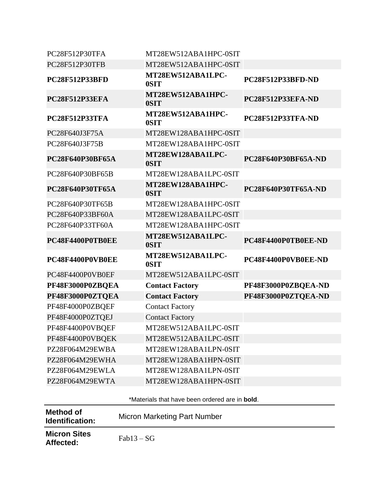| <b>Method of</b><br>Identification: | <b>Micron Marketing Part Number</b>                    |                     |
|-------------------------------------|--------------------------------------------------------|---------------------|
|                                     | *Materials that have been ordered are in <b>bold</b> . |                     |
| PZ28F064M29EWTA                     | MT28EW128ABA1HPN-0SIT                                  |                     |
| PZ28F064M29EWLA                     | MT28EW128ABA1LPN-0SIT                                  |                     |
| PZ28F064M29EWHA                     | MT28EW128ABA1HPN-0SIT                                  |                     |
| PZ28F064M29EWBA                     | MT28EW128ABA1LPN-0SIT                                  |                     |
| PF48F4400P0VBQEK                    | MT28EW512ABA1LPC-0SIT                                  |                     |
| PF48F4400P0VBQEF                    | MT28EW512ABA1LPC-0SIT                                  |                     |
| PF48F4000P0ZTQEJ                    | <b>Contact Factory</b>                                 |                     |
| PF48F4000P0ZBQEF                    | <b>Contact Factory</b>                                 |                     |
| PF48F3000P0ZTQEA                    | <b>Contact Factory</b>                                 | PF48F3000P0ZTQEA-ND |
| PF48F3000P0ZBQEA                    | <b>Contact Factory</b>                                 | PF48F3000P0ZBQEA-ND |
| PC48F4400P0VB0EF                    | MT28EW512ABA1LPC-0SIT                                  |                     |
| PC48F4400P0VB0EE                    | MT28EW512ABA1LPC-<br>0SIT                              | PC48F4400P0VB0EE-ND |
| PC48F4400P0TB0EE                    | MT28EW512ABA1LPC-<br>0SIT                              | PC48F4400P0TB0EE-ND |
| PC28F640P33TF60A                    | MT28EW128ABA1HPC-0SIT                                  |                     |
| PC28F640P33BF60A                    | MT28EW128ABA1LPC-0SIT                                  |                     |
| PC28F640P30TF65B                    | MT28EW128ABA1HPC-0SIT                                  |                     |
| <b>PC28F640P30TF65A</b>             | MT28EW128ABA1HPC-<br>0SIT                              | PC28F640P30TF65A-ND |
| PC28F640P30BF65B                    | MT28EW128ABA1LPC-0SIT                                  |                     |
| PC28F640P30BF65A                    | MT28EW128ABA1LPC-<br>0SIT                              | PC28F640P30BF65A-ND |
| PC28F640J3F75B                      | MT28EW128ABA1HPC-0SIT                                  |                     |
| PC28F640J3F75A                      | MT28EW128ABA1HPC-0SIT                                  |                     |
| <b>PC28F512P33TFA</b>               | MT28EW512ABA1HPC-<br>0SIT                              | PC28F512P33TFA-ND   |
| <b>PC28F512P33EFA</b>               | MT28EW512ABA1HPC-<br>0SIT                              | PC28F512P33EFA-ND   |
| <b>PC28F512P33BFD</b>               | MT28EW512ABA1LPC-<br>0SIT                              | PC28F512P33BFD-ND   |
| PC28F512P30TFB                      | MT28EW512ABA1HPC-0SIT                                  |                     |
| PC28F512P30TFA                      | MT28EW512ABA1HPC-0SIT                                  |                     |

**Micron Sites Affected:** Fab13 – SG